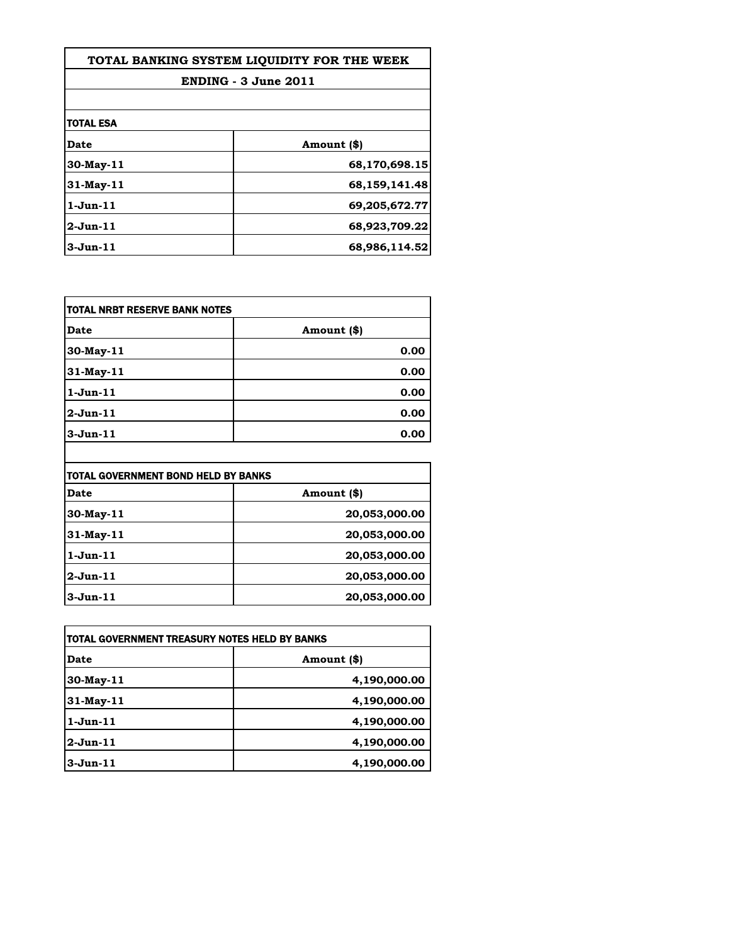| TOTAL BANKING SYSTEM LIQUIDITY FOR THE WEEK |               |
|---------------------------------------------|---------------|
| ENDING - 3 June 2011                        |               |
|                                             |               |
| <b>TOTAL ESA</b>                            |               |
| Date                                        | Amount (\$)   |
| $30$ -May- $11$                             | 68,170,698.15 |
| $31$ -May-11                                | 68,159,141.48 |
| $1$ -Jun- $11$                              | 69,205,672.77 |
| $2$ -Jun-11                                 | 68,923,709.22 |
| $3-Jun-11$                                  | 68,986,114.52 |

| TOTAL NRBT RESERVE BANK NOTES |             |
|-------------------------------|-------------|
| Date                          | Amount (\$) |
| $30$ -May-11                  | 0.00        |
| 31-May-11                     | 0.00        |
| $1$ -Jun- $11$                | 0.00        |
| $2$ -Jun-11                   | 0.00        |
| $3-Jun-11$                    | 0.00        |

| <b>TOTAL GOVERNMENT BOND HELD BY BANKS</b> |               |
|--------------------------------------------|---------------|
| Date                                       | Amount (\$)   |
| $30$ -May-11                               | 20,053,000.00 |
| $31$ -May-11                               | 20,053,000.00 |
| $1$ -Jun- $11$                             | 20,053,000.00 |
| $2$ -Jun-11                                | 20,053,000.00 |
| $3-Jun-11$                                 | 20,053,000.00 |

| TOTAL GOVERNMENT TREASURY NOTES HELD BY BANKS |              |
|-----------------------------------------------|--------------|
| Date                                          | Amount (\$)  |
| 30-May-11                                     | 4,190,000.00 |
| $31$ -May-11                                  | 4,190,000.00 |
| $1$ -Jun- $11$                                | 4,190,000.00 |
| $2$ -Jun-11                                   | 4,190,000.00 |
| $3$ -Jun- $11$                                | 4,190,000.00 |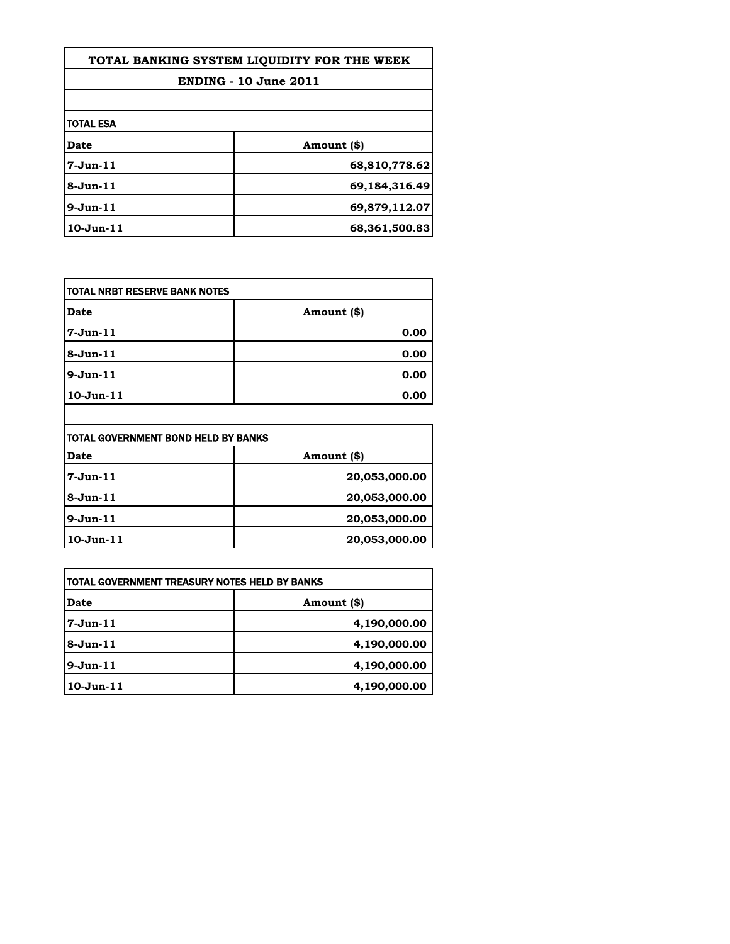| TOTAL BANKING SYSTEM LIQUIDITY FOR THE WEEK |               |
|---------------------------------------------|---------------|
| <b>ENDING - 10 June 2011</b>                |               |
|                                             |               |
| <b>TOTAL ESA</b>                            |               |
| Date                                        | Amount (\$)   |
| $7 - Jun-11$                                | 68,810,778.62 |
| $8-Jun-11$                                  | 69,184,316.49 |
| $9-Jun-11$                                  | 69,879,112.07 |
| $10$ -Jun- $11$                             | 68,361,500.83 |

| itotal NRBT RESERVE BANK NOTES |             |
|--------------------------------|-------------|
| Date                           | Amount (\$) |
| 7-Jun-11                       | 0.00        |
| 8-Jun-11                       | 0.00        |
| $9-Jun-11$                     | 0.00        |
| 10-Jun-11                      | 0.00        |
|                                |             |

| TOTAL GOVERNMENT BOND HELD BY BANKS |               |
|-------------------------------------|---------------|
| <b>Date</b>                         | Amount (\$)   |
| 7-Jun-11                            | 20,053,000.00 |
| 8-Jun-11                            | 20,053,000.00 |
| $9-Jun-11$                          | 20,053,000.00 |
| 10-Jun-11                           | 20,053,000.00 |

| <b>TOTAL GOVERNMENT TREASURY NOTES HELD BY BANKS</b> |              |
|------------------------------------------------------|--------------|
| <b>Date</b>                                          | Amount (\$)  |
| l7-Jun-11                                            | 4,190,000.00 |
| 8-Jun-11                                             | 4,190,000.00 |
| 9-Jun-11                                             | 4,190,000.00 |
| 10-Jun-11                                            | 4,190,000.00 |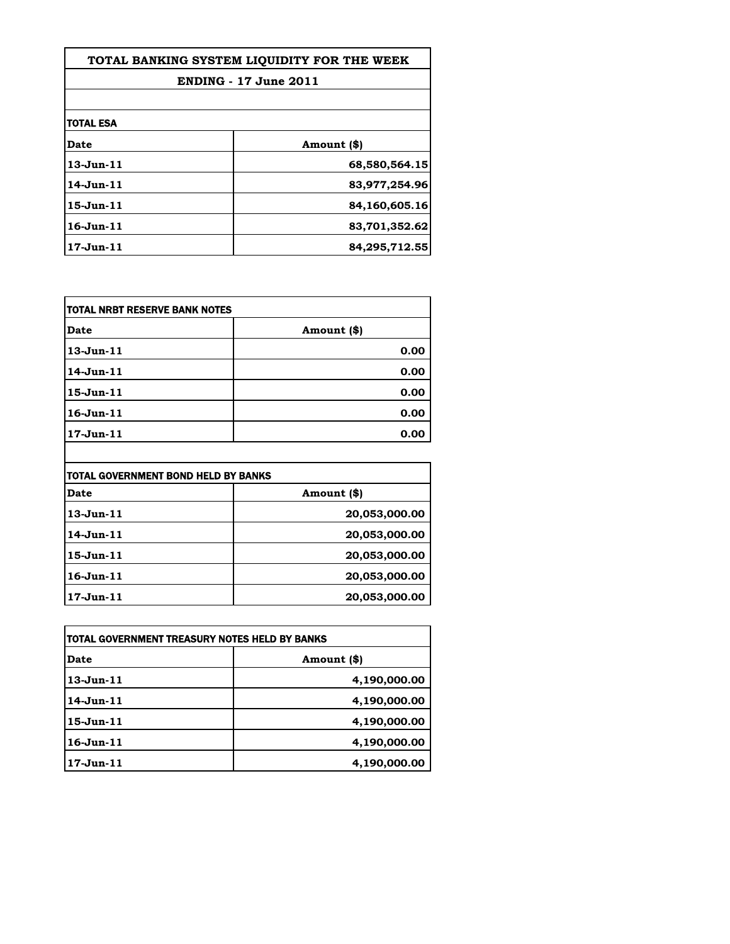| TOTAL BANKING SYSTEM LIOUIDITY FOR THE WEEK |               |
|---------------------------------------------|---------------|
| <b>ENDING - 17 June 2011</b>                |               |
|                                             |               |
| <b>TOTAL ESA</b>                            |               |
| Date                                        | Amount (\$)   |
| $13 - Jun - 11$                             | 68,580,564.15 |
| $14$ -Jun $-11$                             | 83,977,254.96 |
| $15 - Jun - 11$                             | 84,160,605.16 |
| $16 - Jun - 11$                             | 83,701,352.62 |
| $17 - Jun - 11$                             | 84,295,712.55 |

| itotal NRBT RESERVE BANK NOTES |             |
|--------------------------------|-------------|
| <b>Date</b>                    | Amount (\$) |
| $13$ -Jun $-11$                | 0.00        |
| $14$ -Jun $-11$                | 0.00        |
| $15$ -Jun $-11$                | 0.00        |
| $16$ -Jun $-11$                | 0.00        |
| $17$ -Jun- $11$                | 0.00        |

| TOTAL GOVERNMENT BOND HELD BY BANKS |               |
|-------------------------------------|---------------|
| Date                                | Amount (\$)   |
| $13$ -Jun- $11$                     | 20,053,000.00 |
| 14-Jun-11                           | 20,053,000.00 |
| $15 - Jun - 11$                     | 20,053,000.00 |
| $16 - Jun - 11$                     | 20,053,000.00 |
| $17 - Jun-11$                       | 20,053,000.00 |

| TOTAL GOVERNMENT TREASURY NOTES HELD BY BANKS |              |
|-----------------------------------------------|--------------|
| Date                                          | Amount (\$)  |
| $13$ -Jun- $11$                               | 4,190,000.00 |
| $14$ -Jun $-11$                               | 4,190,000.00 |
| $15$ -Jun $-11$                               | 4,190,000.00 |
| $16 - Jun - 11$                               | 4,190,000.00 |
| $17 - Jun \cdot 11$                           | 4,190,000.00 |